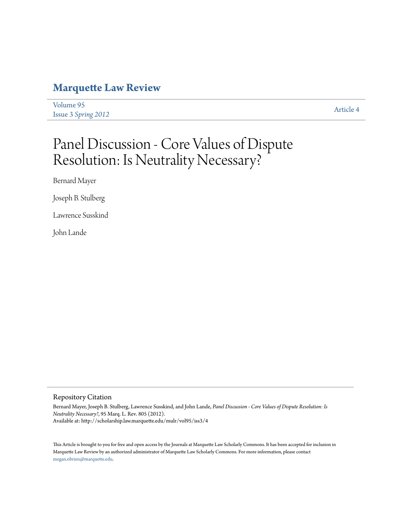# **[Marquette Law Review](http://scholarship.law.marquette.edu/mulr)**

[Volume 95](http://scholarship.law.marquette.edu/mulr/vol95) Issue 3 *[Spring 2012](http://scholarship.law.marquette.edu/mulr/vol95/iss3)* [Article 4](http://scholarship.law.marquette.edu/mulr/vol95/iss3/4)

# Panel Discussion - Core Values of Dispute Resolution: Is Neutrality Necessary?

Bernard Mayer

Joseph B. Stulberg

Lawrence Susskind

John Lande

# Repository Citation

Bernard Mayer, Joseph B. Stulberg, Lawrence Susskind, and John Lande, *Panel Discussion - Core Values of Dispute Resolution: Is Neutrality Necessary?*, 95 Marq. L. Rev. 805 (2012). Available at: http://scholarship.law.marquette.edu/mulr/vol95/iss3/4

This Article is brought to you for free and open access by the Journals at Marquette Law Scholarly Commons. It has been accepted for inclusion in Marquette Law Review by an authorized administrator of Marquette Law Scholarly Commons. For more information, please contact [megan.obrien@marquette.edu.](mailto:megan.obrien@marquette.edu)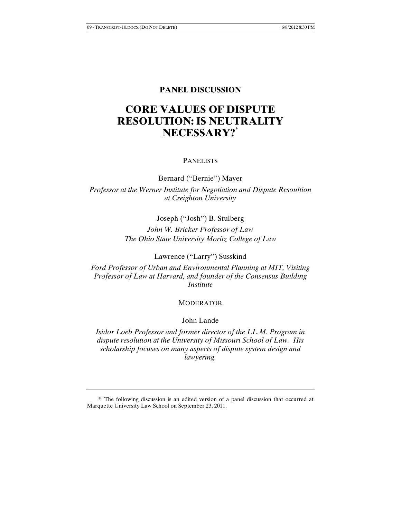# **PANEL DISCUSSION**

# **CORE VALUES OF DISPUTE RESOLUTION: IS NEUTRALITY NECESSARY?\***

#### PANELISTS

Bernard ("Bernie") Mayer *Professor at the Werner Institute for Negotiation and Dispute Resoultion at Creighton University*

Joseph ("Josh") B. Stulberg

*John W. Bricker Professor of Law The Ohio State University Moritz College of Law* 

Lawrence ("Larry") Susskind

*Ford Professor of Urban and Environmental Planning at MIT, Visiting Professor of Law at Harvard, and founder of the Consensus Building Institute* 

# MODERATOR

# John Lande

*Isidor Loeb Professor and former director of the LL.M. Program in dispute resolution at the University of Missouri School of Law. His scholarship focuses on many aspects of dispute system design and lawyering.* 

<sup>\*</sup> The following discussion is an edited version of a panel discussion that occurred at Marquette University Law School on September 23, 2011.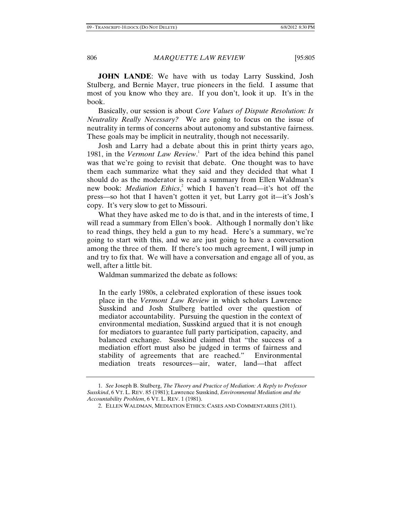**JOHN LANDE**: We have with us today Larry Susskind, Josh Stulberg, and Bernie Mayer, true pioneers in the field. I assume that most of you know who they are. If you don't, look it up. It's in the book.

Basically, our session is about *Core Values of Dispute Resolution: Is Neutrality Really Necessary?* We are going to focus on the issue of neutrality in terms of concerns about autonomy and substantive fairness. These goals may be implicit in neutrality, though not necessarily.

Josh and Larry had a debate about this in print thirty years ago, 1981, in the *Vermont Law Review*.<sup>1</sup> Part of the idea behind this panel was that we're going to revisit that debate. One thought was to have them each summarize what they said and they decided that what I should do as the moderator is read a summary from Ellen Waldman's new book: *Mediation Ethics*,<sup>2</sup> which I haven't read—it's hot off the press—so hot that I haven't gotten it yet, but Larry got it—it's Josh's copy. It's very slow to get to Missouri.

What they have asked me to do is that, and in the interests of time, I will read a summary from Ellen's book. Although I normally don't like to read things, they held a gun to my head. Here's a summary, we're going to start with this, and we are just going to have a conversation among the three of them. If there's too much agreement, I will jump in and try to fix that. We will have a conversation and engage all of you, as well, after a little bit.

Waldman summarized the debate as follows:

In the early 1980s, a celebrated exploration of these issues took place in the *Vermont Law Review* in which scholars Lawrence Susskind and Josh Stulberg battled over the question of mediator accountability. Pursuing the question in the context of environmental mediation, Susskind argued that it is not enough for mediators to guarantee full party participation, capacity, and balanced exchange. Susskind claimed that "the success of a mediation effort must also be judged in terms of fairness and stability of agreements that are reached." Environmental mediation treats resources—air, water, land—that affect

<sup>1.</sup> *See* Joseph B. Stulberg, *The Theory and Practice of Mediation: A Reply to Professor Susskind*, 6 VT. L. REV. 85 (1981); Lawrence Susskind, *Environmental Mediation and the Accountability Problem*, 6 VT. L. REV. 1 (1981).

<sup>2.</sup> ELLEN WALDMAN, MEDIATION ETHICS: CASES AND COMMENTARIES (2011).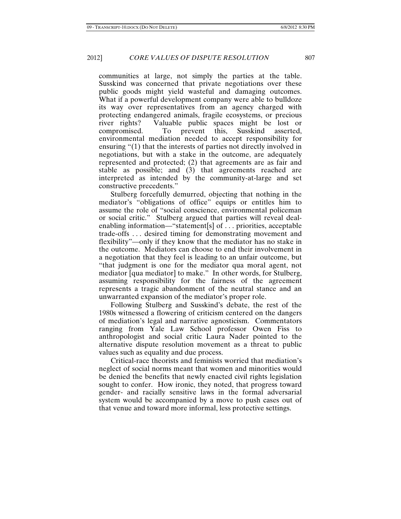communities at large, not simply the parties at the table. Susskind was concerned that private negotiations over these public goods might yield wasteful and damaging outcomes. What if a powerful development company were able to bulldoze its way over representatives from an agency charged with protecting endangered animals, fragile ecosystems, or precious river rights? Valuable public spaces might be lost or compromised. To prevent this, Susskind asserted, environmental mediation needed to accept responsibility for ensuring "(1) that the interests of parties not directly involved in negotiations, but with a stake in the outcome, are adequately represented and protected; (2) that agreements are as fair and stable as possible; and (3) that agreements reached are interpreted as intended by the community-at-large and set constructive precedents."

Stulberg forcefully demurred, objecting that nothing in the mediator's "obligations of office" equips or entitles him to assume the role of "social conscience, environmental policeman or social critic." Stulberg argued that parties will reveal dealenabling information—"statement[s] of . . . priorities, acceptable trade-offs . . . desired timing for demonstrating movement and flexibility"—only if they know that the mediator has no stake in the outcome. Mediators can choose to end their involvement in a negotiation that they feel is leading to an unfair outcome, but "that judgment is one for the mediator qua moral agent, not mediator [qua mediator] to make." In other words, for Stulberg, assuming responsibility for the fairness of the agreement represents a tragic abandonment of the neutral stance and an unwarranted expansion of the mediator's proper role.

Following Stulberg and Susskind's debate, the rest of the 1980s witnessed a flowering of criticism centered on the dangers of mediation's legal and narrative agnosticism. Commentators ranging from Yale Law School professor Owen Fiss to anthropologist and social critic Laura Nader pointed to the alternative dispute resolution movement as a threat to public values such as equality and due process.

Critical-race theorists and feminists worried that mediation's neglect of social norms meant that women and minorities would be denied the benefits that newly enacted civil rights legislation sought to confer. How ironic, they noted, that progress toward gender- and racially sensitive laws in the formal adversarial system would be accompanied by a move to push cases out of that venue and toward more informal, less protective settings.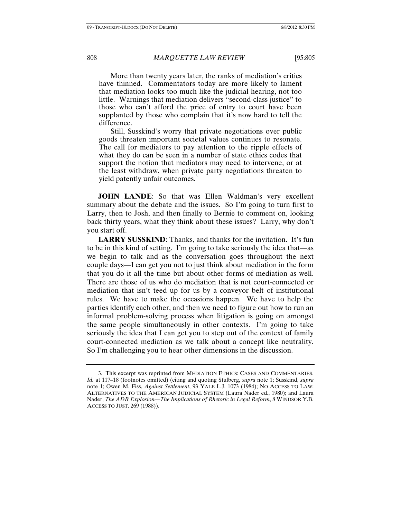More than twenty years later, the ranks of mediation's critics have thinned. Commentators today are more likely to lament that mediation looks too much like the judicial hearing, not too little. Warnings that mediation delivers "second-class justice" to those who can't afford the price of entry to court have been supplanted by those who complain that it's now hard to tell the difference.

Still, Susskind's worry that private negotiations over public goods threaten important societal values continues to resonate. The call for mediators to pay attention to the ripple effects of what they do can be seen in a number of state ethics codes that support the notion that mediators may need to intervene, or at the least withdraw, when private party negotiations threaten to yield patently unfair outcomes.<sup>3</sup>

**JOHN LANDE:** So that was Ellen Waldman's very excellent summary about the debate and the issues. So I'm going to turn first to Larry, then to Josh, and then finally to Bernie to comment on, looking back thirty years, what they think about these issues? Larry, why don't you start off.

**LARRY SUSSKIND**: Thanks, and thanks for the invitation. It's fun to be in this kind of setting. I'm going to take seriously the idea that—as we begin to talk and as the conversation goes throughout the next couple days—I can get you not to just think about mediation in the form that you do it all the time but about other forms of mediation as well. There are those of us who do mediation that is not court-connected or mediation that isn't teed up for us by a conveyor belt of institutional rules. We have to make the occasions happen. We have to help the parties identify each other, and then we need to figure out how to run an informal problem-solving process when litigation is going on amongst the same people simultaneously in other contexts. I'm going to take seriously the idea that I can get you to step out of the context of family court-connected mediation as we talk about a concept like neutrality. So I'm challenging you to hear other dimensions in the discussion.

<sup>3.</sup> This excerpt was reprinted from MEDIATION ETHICS: CASES AND COMMENTARIES. *Id.* at 117–18 (footnotes omitted) (citing and quoting Stulberg, *supra* note 1; Susskind, *supra*  note 1; Owen M. Fiss, *Against Settlement*, 93 YALE L.J. 1073 (1984); NO ACCESS TO LAW: ALTERNATIVES TO THE AMERICAN JUDICIAL SYSTEM (Laura Nader ed., 1980); and Laura Nader, *The ADR Explosion—The Implications of Rhetoric in Legal Reform*, 8 WINDSOR Y.B. ACCESS TO JUST. 269 (1988)).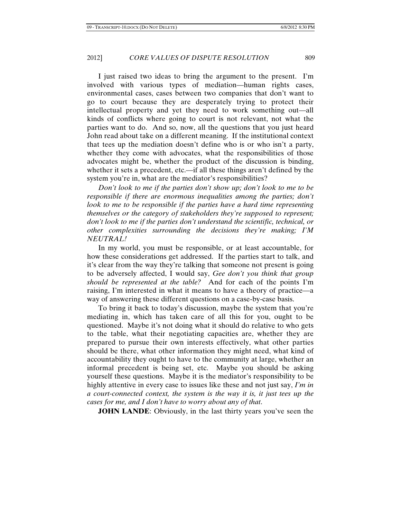I just raised two ideas to bring the argument to the present. I'm involved with various types of mediation—human rights cases, environmental cases, cases between two companies that don't want to go to court because they are desperately trying to protect their intellectual property and yet they need to work something out—all kinds of conflicts where going to court is not relevant, not what the parties want to do. And so, now, all the questions that you just heard John read about take on a different meaning. If the institutional context that tees up the mediation doesn't define who is or who isn't a party, whether they come with advocates, what the responsibilities of those advocates might be, whether the product of the discussion is binding, whether it sets a precedent, etc.—if all these things aren't defined by the system you're in, what are the mediator's responsibilities?

*Don't look to me if the parties don't show up; don't look to me to be responsible if there are enormous inequalities among the parties; don't look to me to be responsible if the parties have a hard time representing themselves or the category of stakeholders they're supposed to represent; don't look to me if the parties don't understand the scientific, technical, or other complexities surrounding the decisions they're making; I'M NEUTRAL!*

In my world, you must be responsible, or at least accountable, for how these considerations get addressed. If the parties start to talk, and it's clear from the way they're talking that someone not present is going to be adversely affected, I would say, *Gee don't you think that group should be represented at the table?* And for each of the points I'm raising, I'm interested in what it means to have a theory of practice—a way of answering these different questions on a case-by-case basis.

To bring it back to today's discussion, maybe the system that you're mediating in, which has taken care of all this for you, ought to be questioned. Maybe it's not doing what it should do relative to who gets to the table, what their negotiating capacities are, whether they are prepared to pursue their own interests effectively, what other parties should be there, what other information they might need, what kind of accountability they ought to have to the community at large, whether an informal precedent is being set, etc. Maybe you should be asking yourself these questions. Maybe it is the mediator's responsibility to be highly attentive in every case to issues like these and not just say, *I'm in a court-connected context, the system is the way it is, it just tees up the cases for me, and I don't have to worry about any of that*.

**JOHN LANDE:** Obviously, in the last thirty years you've seen the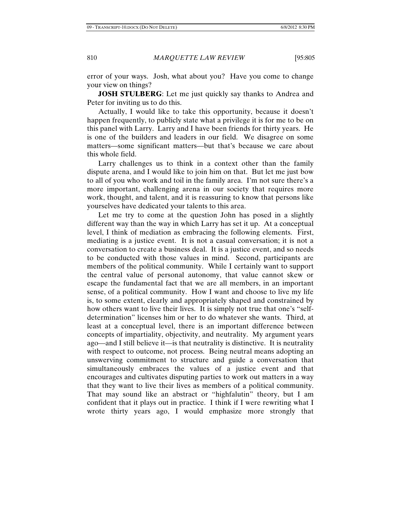error of your ways. Josh, what about you? Have you come to change your view on things?

**JOSH STULBERG**: Let me just quickly say thanks to Andrea and Peter for inviting us to do this.

Actually, I would like to take this opportunity, because it doesn't happen frequently, to publicly state what a privilege it is for me to be on this panel with Larry. Larry and I have been friends for thirty years. He is one of the builders and leaders in our field. We disagree on some matters—some significant matters—but that's because we care about this whole field.

Larry challenges us to think in a context other than the family dispute arena, and I would like to join him on that. But let me just bow to all of you who work and toil in the family area. I'm not sure there's a more important, challenging arena in our society that requires more work, thought, and talent, and it is reassuring to know that persons like yourselves have dedicated your talents to this area.

Let me try to come at the question John has posed in a slightly different way than the way in which Larry has set it up. At a conceptual level, I think of mediation as embracing the following elements. First, mediating is a justice event. It is not a casual conversation; it is not a conversation to create a business deal. It is a justice event, and so needs to be conducted with those values in mind. Second, participants are members of the political community. While I certainly want to support the central value of personal autonomy, that value cannot skew or escape the fundamental fact that we are all members, in an important sense, of a political community. How I want and choose to live my life is, to some extent, clearly and appropriately shaped and constrained by how others want to live their lives. It is simply not true that one's "selfdetermination" licenses him or her to do whatever she wants. Third, at least at a conceptual level, there is an important difference between concepts of impartiality, objectivity, and neutrality. My argument years ago—and I still believe it—is that neutrality is distinctive. It is neutrality with respect to outcome, not process. Being neutral means adopting an unswerving commitment to structure and guide a conversation that simultaneously embraces the values of a justice event and that encourages and cultivates disputing parties to work out matters in a way that they want to live their lives as members of a political community. That may sound like an abstract or "highfalutin" theory, but I am confident that it plays out in practice. I think if I were rewriting what I wrote thirty years ago, I would emphasize more strongly that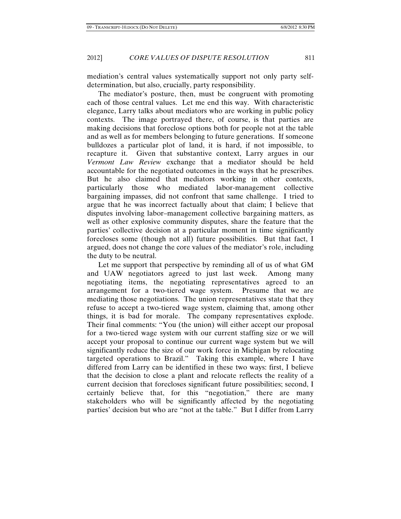mediation's central values systematically support not only party selfdetermination, but also, crucially, party responsibility.

The mediator's posture, then, must be congruent with promoting each of those central values. Let me end this way. With characteristic elegance, Larry talks about mediators who are working in public policy contexts. The image portrayed there, of course, is that parties are making decisions that foreclose options both for people not at the table and as well as for members belonging to future generations. If someone bulldozes a particular plot of land, it is hard, if not impossible, to recapture it. Given that substantive context, Larry argues in our *Vermont Law Review* exchange that a mediator should be held accountable for the negotiated outcomes in the ways that he prescribes. But he also claimed that mediators working in other contexts, particularly those who mediated labor-management collective bargaining impasses, did not confront that same challenge. I tried to argue that he was incorrect factually about that claim; I believe that disputes involving labor–management collective bargaining matters, as well as other explosive community disputes, share the feature that the parties' collective decision at a particular moment in time significantly forecloses some (though not all) future possibilities. But that fact, I argued, does not change the core values of the mediator's role, including the duty to be neutral.

Let me support that perspective by reminding all of us of what GM and UAW negotiators agreed to just last week. Among many negotiating items, the negotiating representatives agreed to an arrangement for a two-tiered wage system. Presume that we are mediating those negotiations. The union representatives state that they refuse to accept a two-tiered wage system, claiming that, among other things, it is bad for morale. The company representatives explode. Their final comments: "You (the union) will either accept our proposal for a two-tiered wage system with our current staffing size or we will accept your proposal to continue our current wage system but we will significantly reduce the size of our work force in Michigan by relocating targeted operations to Brazil." Taking this example, where I have differed from Larry can be identified in these two ways: first, I believe that the decision to close a plant and relocate reflects the reality of a current decision that forecloses significant future possibilities; second, I certainly believe that, for this "negotiation," there are many stakeholders who will be significantly affected by the negotiating parties' decision but who are "not at the table." But I differ from Larry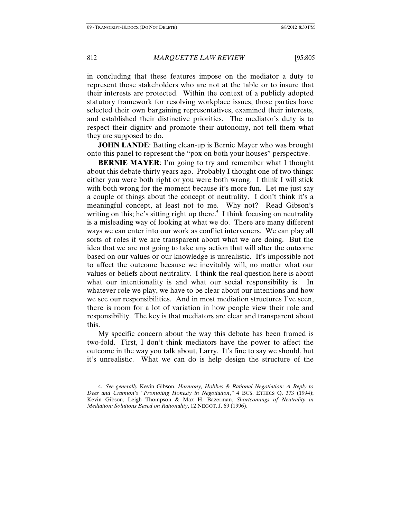in concluding that these features impose on the mediator a duty to represent those stakeholders who are not at the table or to insure that their interests are protected. Within the context of a publicly adopted statutory framework for resolving workplace issues, those parties have selected their own bargaining representatives, examined their interests, and established their distinctive priorities. The mediator's duty is to respect their dignity and promote their autonomy, not tell them what they are supposed to do.

**JOHN LANDE:** Batting clean-up is Bernie Mayer who was brought onto this panel to represent the "pox on both your houses" perspective.

**BERNIE MAYER:** I'm going to try and remember what I thought about this debate thirty years ago. Probably I thought one of two things: either you were both right or you were both wrong. I think I will stick with both wrong for the moment because it's more fun. Let me just say a couple of things about the concept of neutrality. I don't think it's a meaningful concept, at least not to me. Why not? Read Gibson's writing on this; he's sitting right up there. $4$  I think focusing on neutrality is a misleading way of looking at what we do. There are many different ways we can enter into our work as conflict interveners. We can play all sorts of roles if we are transparent about what we are doing. But the idea that we are not going to take any action that will alter the outcome based on our values or our knowledge is unrealistic. It's impossible not to affect the outcome because we inevitably will, no matter what our values or beliefs about neutrality. I think the real question here is about what our intentionality is and what our social responsibility is. In whatever role we play, we have to be clear about our intentions and how we see our responsibilities. And in most mediation structures I've seen, there is room for a lot of variation in how people view their role and responsibility. The key is that mediators are clear and transparent about this.

My specific concern about the way this debate has been framed is two-fold. First, I don't think mediators have the power to affect the outcome in the way you talk about, Larry. It's fine to say we should, but it's unrealistic. What we can do is help design the structure of the

<sup>4.</sup> *See generally* Kevin Gibson, *Harmony, Hobbes & Rational Negotiation: A Reply to Dees and Cramton's "Promoting Honesty in Negotiation*,*"* 4 BUS. ETHICS Q. 373 (1994); Kevin Gibson, Leigh Thompson & Max H. Bazerman, *Shortcomings of Neutrality in Mediation: Solutions Based on Rationality*, 12 NEGOT. J. 69 (1996).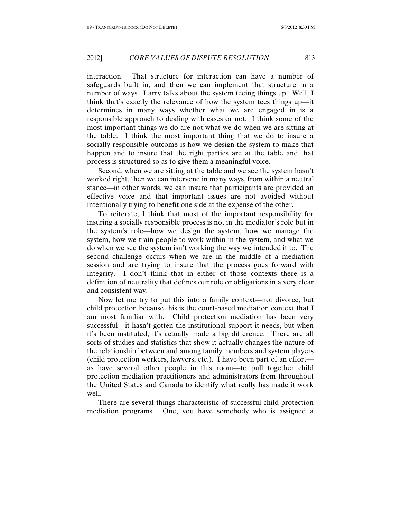interaction. That structure for interaction can have a number of safeguards built in, and then we can implement that structure in a number of ways. Larry talks about the system teeing things up. Well, I think that's exactly the relevance of how the system tees things up—it determines in many ways whether what we are engaged in is a responsible approach to dealing with cases or not. I think some of the most important things we do are not what we do when we are sitting at the table. I think the most important thing that we do to insure a socially responsible outcome is how we design the system to make that happen and to insure that the right parties are at the table and that process is structured so as to give them a meaningful voice.

Second, when we are sitting at the table and we see the system hasn't worked right, then we can intervene in many ways, from within a neutral stance—in other words, we can insure that participants are provided an effective voice and that important issues are not avoided without intentionally trying to benefit one side at the expense of the other.

To reiterate, I think that most of the important responsibility for insuring a socially responsible process is not in the mediator's role but in the system's role—how we design the system, how we manage the system, how we train people to work within in the system, and what we do when we see the system isn't working the way we intended it to. The second challenge occurs when we are in the middle of a mediation session and are trying to insure that the process goes forward with integrity. I don't think that in either of those contexts there is a definition of neutrality that defines our role or obligations in a very clear and consistent way.

Now let me try to put this into a family context—not divorce, but child protection because this is the court-based mediation context that I am most familiar with. Child protection mediation has been very successful—it hasn't gotten the institutional support it needs, but when it's been instituted, it's actually made a big difference. There are all sorts of studies and statistics that show it actually changes the nature of the relationship between and among family members and system players (child protection workers, lawyers, etc.). I have been part of an effort as have several other people in this room—to pull together child protection mediation practitioners and administrators from throughout the United States and Canada to identify what really has made it work well.

There are several things characteristic of successful child protection mediation programs. One, you have somebody who is assigned a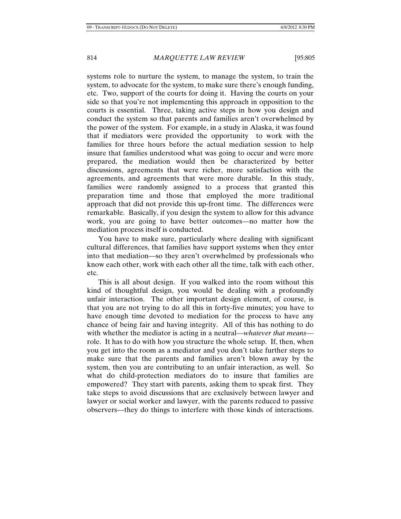systems role to nurture the system, to manage the system, to train the system, to advocate for the system, to make sure there's enough funding, etc. Two, support of the courts for doing it. Having the courts on your side so that you're not implementing this approach in opposition to the courts is essential. Three, taking active steps in how you design and conduct the system so that parents and families aren't overwhelmed by the power of the system. For example, in a study in Alaska, it was found that if mediators were provided the opportunity to work with the families for three hours before the actual mediation session to help insure that families understood what was going to occur and were more prepared, the mediation would then be characterized by better discussions, agreements that were richer, more satisfaction with the agreements, and agreements that were more durable. In this study, families were randomly assigned to a process that granted this preparation time and those that employed the more traditional approach that did not provide this up-front time. The differences were remarkable. Basically, if you design the system to allow for this advance work, you are going to have better outcomes—no matter how the mediation process itself is conducted.

You have to make sure, particularly where dealing with significant cultural differences, that families have support systems when they enter into that mediation—so they aren't overwhelmed by professionals who know each other, work with each other all the time, talk with each other, etc.

This is all about design. If you walked into the room without this kind of thoughtful design, you would be dealing with a profoundly unfair interaction. The other important design element, of course, is that you are not trying to do all this in forty-five minutes; you have to have enough time devoted to mediation for the process to have any chance of being fair and having integrity. All of this has nothing to do with whether the mediator is acting in a neutral—*whatever that means* role. It has to do with how you structure the whole setup. If, then, when you get into the room as a mediator and you don't take further steps to make sure that the parents and families aren't blown away by the system, then you are contributing to an unfair interaction, as well. So what do child-protection mediators do to insure that families are empowered? They start with parents, asking them to speak first. They take steps to avoid discussions that are exclusively between lawyer and lawyer or social worker and lawyer, with the parents reduced to passive observers—they do things to interfere with those kinds of interactions.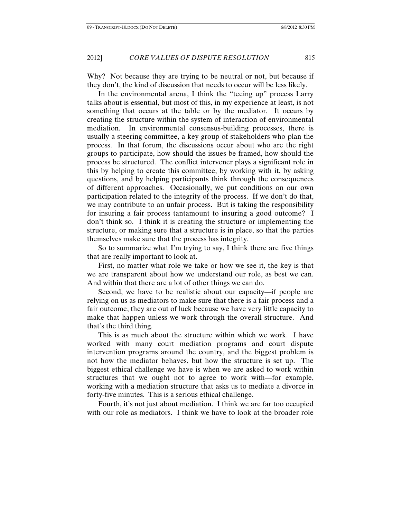Why? Not because they are trying to be neutral or not, but because if they don't, the kind of discussion that needs to occur will be less likely.

In the environmental arena, I think the "teeing up" process Larry talks about is essential, but most of this, in my experience at least, is not something that occurs at the table or by the mediator. It occurs by creating the structure within the system of interaction of environmental mediation. In environmental consensus-building processes, there is usually a steering committee, a key group of stakeholders who plan the process. In that forum, the discussions occur about who are the right groups to participate, how should the issues be framed, how should the process be structured. The conflict intervener plays a significant role in this by helping to create this committee, by working with it, by asking questions, and by helping participants think through the consequences of different approaches. Occasionally, we put conditions on our own participation related to the integrity of the process. If we don't do that, we may contribute to an unfair process. But is taking the responsibility for insuring a fair process tantamount to insuring a good outcome? I don't think so. I think it is creating the structure or implementing the structure, or making sure that a structure is in place, so that the parties themselves make sure that the process has integrity.

So to summarize what I'm trying to say, I think there are five things that are really important to look at.

First, no matter what role we take or how we see it, the key is that we are transparent about how we understand our role, as best we can. And within that there are a lot of other things we can do.

Second, we have to be realistic about our capacity—if people are relying on us as mediators to make sure that there is a fair process and a fair outcome, they are out of luck because we have very little capacity to make that happen unless we work through the overall structure. And that's the third thing.

This is as much about the structure within which we work. I have worked with many court mediation programs and court dispute intervention programs around the country, and the biggest problem is not how the mediator behaves, but how the structure is set up. The biggest ethical challenge we have is when we are asked to work within structures that we ought not to agree to work with—for example, working with a mediation structure that asks us to mediate a divorce in forty-five minutes. This is a serious ethical challenge.

Fourth, it's not just about mediation. I think we are far too occupied with our role as mediators. I think we have to look at the broader role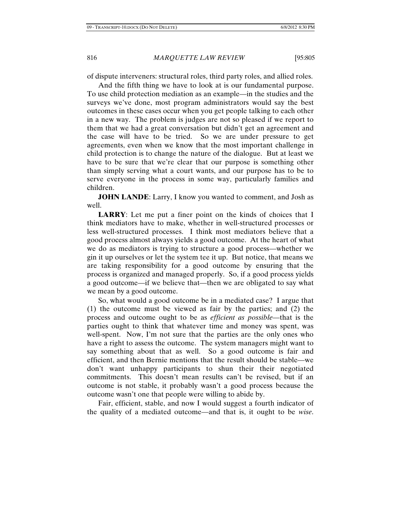of dispute interveners: structural roles, third party roles, and allied roles.

And the fifth thing we have to look at is our fundamental purpose. To use child protection mediation as an example—in the studies and the surveys we've done, most program administrators would say the best outcomes in these cases occur when you get people talking to each other in a new way. The problem is judges are not so pleased if we report to them that we had a great conversation but didn't get an agreement and the case will have to be tried. So we are under pressure to get agreements, even when we know that the most important challenge in child protection is to change the nature of the dialogue. But at least we have to be sure that we're clear that our purpose is something other than simply serving what a court wants, and our purpose has to be to serve everyone in the process in some way, particularly families and children.

**JOHN LANDE:** Larry, I know you wanted to comment, and Josh as well.

**LARRY**: Let me put a finer point on the kinds of choices that I think mediators have to make, whether in well-structured processes or less well-structured processes. I think most mediators believe that a good process almost always yields a good outcome. At the heart of what we do as mediators is trying to structure a good process—whether we gin it up ourselves or let the system tee it up. But notice, that means we are taking responsibility for a good outcome by ensuring that the process is organized and managed properly. So, if a good process yields a good outcome—if we believe that—then we are obligated to say what we mean by a good outcome.

So, what would a good outcome be in a mediated case? I argue that (1) the outcome must be viewed as fair by the parties; and (2) the process and outcome ought to be as *efficient as possible*—that is the parties ought to think that whatever time and money was spent, was well-spent. Now, I'm not sure that the parties are the only ones who have a right to assess the outcome. The system managers might want to say something about that as well. So a good outcome is fair and efficient, and then Bernie mentions that the result should be stable—we don't want unhappy participants to shun their their negotiated commitments. This doesn't mean results can't be revised, but if an outcome is not stable, it probably wasn't a good process because the outcome wasn't one that people were willing to abide by.

Fair, efficient, stable, and now I would suggest a fourth indicator of the quality of a mediated outcome—and that is, it ought to be *wise*.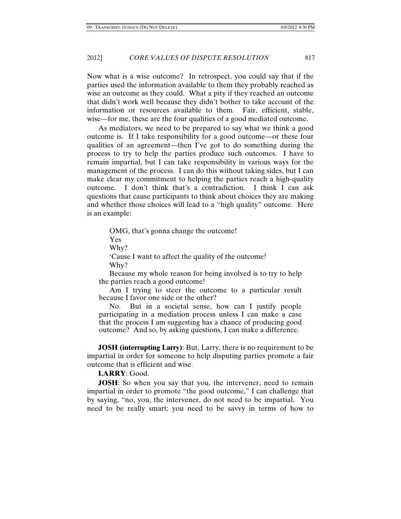Now what is a wise outcome? In retrospect, you could say that if the parties used the information available to them they probably reached as wise an outcome as they could. What a pity if they reached an outcome that didn't work well because they didn't bother to take account of the information or resources available to them. Fair, efficient, stable, wise—for me, these are the four qualities of a good mediated outcome.

As mediators, we need to be prepared to say what we think a good outcome is. If I take responsibility for a good outcome—or these four qualities of an agreement—then I've got to do something during the process to try to help the parties produce such outcomes. I have to remain impartial, but I can take responsibility in various ways for the management of the process. I can do this without taking sides, but I can make clear my commitment to helping the parties reach a high-quality outcome. I don't think that's a contradiction. I think I can ask questions that cause participants to think about choices they are making and whether those choices will lead to a "high quality" outcome. Here is an example:

 OMG, that's gonna change the outcome! Yes Why? 'Cause I want to affect the quality of the outcome! Why?

 Because my whole reason for being involved is to try to help the parties reach a good outcome!

 Am I trying to steer the outcome to a particular result because I favor one side or the other?

 No. But in a societal sense, how can I justify people participating in a mediation process unless I can make a case that the process I am suggesting has a chance of producing good outcome? And so, by asking questions, I can make a difference.

**JOSH (interrupting Larry)**: But, Larry, there is no requirement to be impartial in order for someone to help disputing parties promote a fair outcome that is efficient and wise.

#### **LARRY**: Good.

**JOSH**: So when you say that you, the intervener, need to remain impartial in order to promote "the good outcome," I can challenge that by saying, "no, you, the intervener, do not need to be impartial. You need to be really smart; you need to be savvy in terms of how to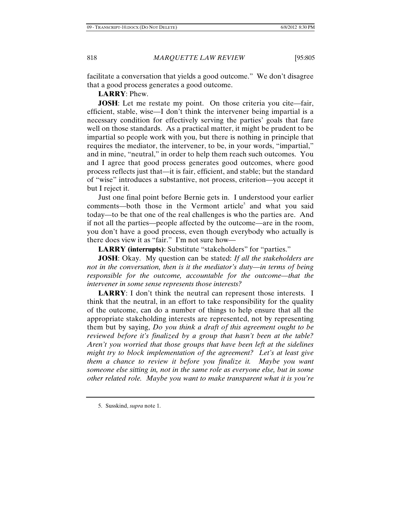facilitate a conversation that yields a good outcome." We don't disagree that a good process generates a good outcome.

**LARRY**: Phew.

**JOSH:** Let me restate my point. On those criteria you cite—fair, efficient, stable, wise—I don't think the intervener being impartial is a necessary condition for effectively serving the parties' goals that fare well on those standards. As a practical matter, it might be prudent to be impartial so people work with you, but there is nothing in principle that requires the mediator, the intervener, to be, in your words, "impartial," and in mine, "neutral," in order to help them reach such outcomes. You and I agree that good process generates good outcomes, where good process reflects just that—it is fair, efficient, and stable; but the standard of "wise" introduces a substantive, not process, criterion—you accept it but I reject it.

Just one final point before Bernie gets in. I understood your earlier comments—both those in the Vermont article<sup>5</sup> and what you said today—to be that one of the real challenges is who the parties are. And if not all the parties—people affected by the outcome—are in the room, you don't have a good process, even though everybody who actually is there does view it as "fair." I'm not sure how—

**LARRY (interrupts)**: Substitute "stakeholders" for "parties."

**JOSH**: Okay. My question can be stated: *If all the stakeholders are not in the conversation, then is it the mediator's duty—in terms of being responsible for the outcome, accountable for the outcome—that the intervener in some sense represents those interests?* 

**LARRY**: I don't think the neutral can represent those interests. I think that the neutral, in an effort to take responsibility for the quality of the outcome, can do a number of things to help ensure that all the appropriate stakeholding interests are represented, not by representing them but by saying, *Do you think a draft of this agreement ought to be reviewed before it's finalized by a group that hasn't been at the table? Aren't you worried that those groups that have been left at the sidelines might try to block implementation of the agreement? Let's at least give them a chance to review it before you finalize it. Maybe you want someone else sitting in, not in the same role as everyone else, but in some other related role. Maybe you want to make transparent what it is you're* 

<sup>5.</sup> Susskind, *supra* note 1.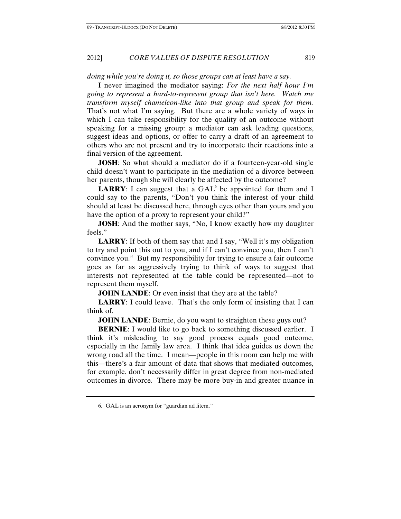*doing while you're doing it, so those groups can at least have a say.* 

I never imagined the mediator saying: *For the next half hour I'm going to represent a hard-to-represent group that isn't here. Watch me transform myself chameleon-like into that group and speak for them.*  That's not what I'm saying. But there are a whole variety of ways in which I can take responsibility for the quality of an outcome without speaking for a missing group: a mediator can ask leading questions, suggest ideas and options, or offer to carry a draft of an agreement to others who are not present and try to incorporate their reactions into a final version of the agreement.

**JOSH**: So what should a mediator do if a fourteen-year-old single child doesn't want to participate in the mediation of a divorce between her parents, though she will clearly be affected by the outcome?

**LARRY**: I can suggest that a  $GAL<sup>6</sup>$  be appointed for them and I could say to the parents, "Don't you think the interest of your child should at least be discussed here, through eyes other than yours and you have the option of a proxy to represent your child?"

**JOSH:** And the mother says, "No, I know exactly how my daughter feels."

**LARRY:** If both of them say that and I say, "Well it's my obligation to try and point this out to you, and if I can't convince you, then I can't convince you." But my responsibility for trying to ensure a fair outcome goes as far as aggressively trying to think of ways to suggest that interests not represented at the table could be represented—not to represent them myself.

**JOHN LANDE:** Or even insist that they are at the table?

**LARRY:** I could leave. That's the only form of insisting that I can think of.

**JOHN LANDE:** Bernie, do you want to straighten these guys out?

**BERNIE:** I would like to go back to something discussed earlier. I think it's misleading to say good process equals good outcome, especially in the family law area. I think that idea guides us down the wrong road all the time. I mean—people in this room can help me with this—there's a fair amount of data that shows that mediated outcomes, for example, don't necessarily differ in great degree from non-mediated outcomes in divorce. There may be more buy-in and greater nuance in

<sup>6.</sup> GAL is an acronym for "guardian ad litem."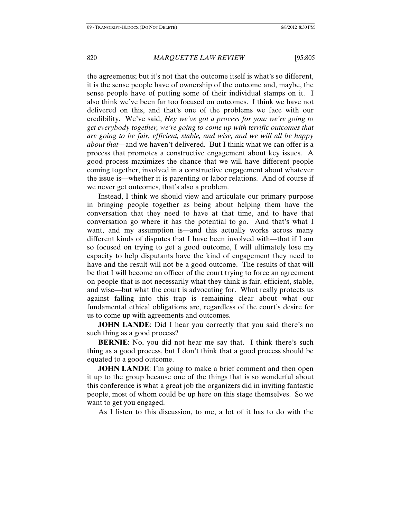the agreements; but it's not that the outcome itself is what's so different, it is the sense people have of ownership of the outcome and, maybe, the sense people have of putting some of their individual stamps on it. I also think we've been far too focused on outcomes. I think we have not delivered on this, and that's one of the problems we face with our credibility. We've said, *Hey we've got a process for you: we're going to get everybody together, we're going to come up with terrific outcomes that are going to be fair, efficient, stable, and wise, and we will all be happy about that*—and we haven't delivered. But I think what we can offer is a process that promotes a constructive engagement about key issues. A good process maximizes the chance that we will have different people coming together, involved in a constructive engagement about whatever the issue is—whether it is parenting or labor relations. And of course if we never get outcomes, that's also a problem.

Instead, I think we should view and articulate our primary purpose in bringing people together as being about helping them have the conversation that they need to have at that time, and to have that conversation go where it has the potential to go. And that's what I want, and my assumption is—and this actually works across many different kinds of disputes that I have been involved with—that if I am so focused on trying to get a good outcome, I will ultimately lose my capacity to help disputants have the kind of engagement they need to have and the result will not be a good outcome. The results of that will be that I will become an officer of the court trying to force an agreement on people that is not necessarily what they think is fair, efficient, stable, and wise—but what the court is advocating for. What really protects us against falling into this trap is remaining clear about what our fundamental ethical obligations are, regardless of the court's desire for us to come up with agreements and outcomes.

**JOHN LANDE:** Did I hear you correctly that you said there's no such thing as a good process?

**BERNIE**: No, you did not hear me say that. I think there's such thing as a good process, but I don't think that a good process should be equated to a good outcome.

**JOHN LANDE:** I'm going to make a brief comment and then open it up to the group because one of the things that is so wonderful about this conference is what a great job the organizers did in inviting fantastic people, most of whom could be up here on this stage themselves. So we want to get you engaged.

As I listen to this discussion, to me, a lot of it has to do with the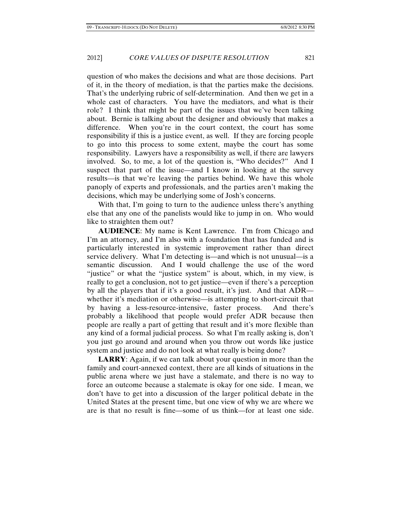question of who makes the decisions and what are those decisions. Part of it, in the theory of mediation, is that the parties make the decisions. That's the underlying rubric of self-determination. And then we get in a whole cast of characters. You have the mediators, and what is their role? I think that might be part of the issues that we've been talking about. Bernie is talking about the designer and obviously that makes a difference. When you're in the court context, the court has some responsibility if this is a justice event, as well. If they are forcing people to go into this process to some extent, maybe the court has some responsibility. Lawyers have a responsibility as well, if there are lawyers involved. So, to me, a lot of the question is, "Who decides?" And I suspect that part of the issue—and I know in looking at the survey results—is that we're leaving the parties behind. We have this whole panoply of experts and professionals, and the parties aren't making the decisions, which may be underlying some of Josh's concerns.

With that, I'm going to turn to the audience unless there's anything else that any one of the panelists would like to jump in on. Who would like to straighten them out?

**AUDIENCE**: My name is Kent Lawrence. I'm from Chicago and I'm an attorney, and I'm also with a foundation that has funded and is particularly interested in systemic improvement rather than direct service delivery. What I'm detecting is—and which is not unusual—is a semantic discussion. And I would challenge the use of the word "justice" or what the "justice system" is about, which, in my view, is really to get a conclusion, not to get justice—even if there's a perception by all the players that if it's a good result, it's just. And that ADR whether it's mediation or otherwise—is attempting to short-circuit that by having a less-resource-intensive, faster process. And there's probably a likelihood that people would prefer ADR because then people are really a part of getting that result and it's more flexible than any kind of a formal judicial process. So what I'm really asking is, don't you just go around and around when you throw out words like justice system and justice and do not look at what really is being done?

**LARRY**: Again, if we can talk about your question in more than the family and court-annexed context, there are all kinds of situations in the public arena where we just have a stalemate, and there is no way to force an outcome because a stalemate is okay for one side. I mean, we don't have to get into a discussion of the larger political debate in the United States at the present time, but one view of why we are where we are is that no result is fine—some of us think—for at least one side.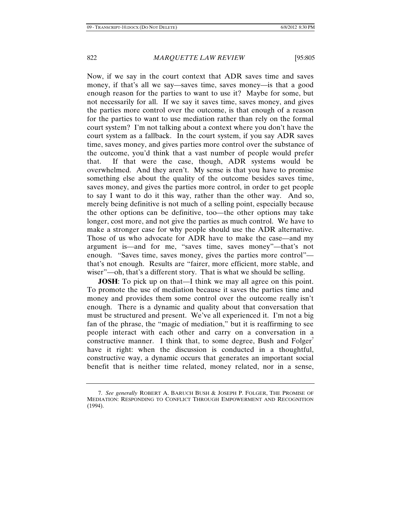Now, if we say in the court context that ADR saves time and saves money, if that's all we say—saves time, saves money—is that a good enough reason for the parties to want to use it? Maybe for some, but not necessarily for all. If we say it saves time, saves money, and gives the parties more control over the outcome, is that enough of a reason for the parties to want to use mediation rather than rely on the formal court system? I'm not talking about a context where you don't have the court system as a fallback. In the court system, if you say ADR saves time, saves money, and gives parties more control over the substance of the outcome, you'd think that a vast number of people would prefer that. If that were the case, though, ADR systems would be overwhelmed. And they aren't. My sense is that you have to promise something else about the quality of the outcome besides saves time, saves money, and gives the parties more control, in order to get people to say I want to do it this way, rather than the other way. And so, merely being definitive is not much of a selling point, especially because the other options can be definitive, too—the other options may take longer, cost more, and not give the parties as much control. We have to make a stronger case for why people should use the ADR alternative. Those of us who advocate for ADR have to make the case—and my argument is—and for me, "saves time, saves money"—that's not enough. "Saves time, saves money, gives the parties more control" that's not enough. Results are "fairer, more efficient, more stable, and wiser"—oh, that's a different story. That is what we should be selling.

**JOSH**: To pick up on that—I think we may all agree on this point. To promote the use of mediation because it saves the parties time and money and provides them some control over the outcome really isn't enough. There is a dynamic and quality about that conversation that must be structured and present. We've all experienced it. I'm not a big fan of the phrase, the "magic of mediation," but it is reaffirming to see people interact with each other and carry on a conversation in a constructive manner. I think that, to some degree, Bush and Folger<sup>'</sup> have it right: when the discussion is conducted in a thoughtful, constructive way, a dynamic occurs that generates an important social benefit that is neither time related, money related, nor in a sense,

<sup>7.</sup> *See generally* ROBERT A. BARUCH BUSH & JOSEPH P. FOLGER, THE PROMISE OF MEDIATION: RESPONDING TO CONFLICT THROUGH EMPOWERMENT AND RECOGNITION (1994).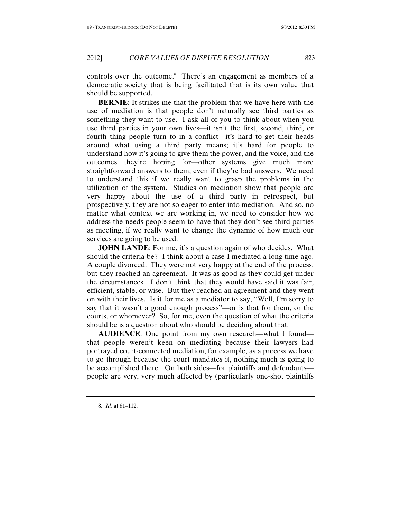controls over the outcome.<sup>8</sup> There's an engagement as members of a democratic society that is being facilitated that is its own value that should be supported.

**BERNIE**: It strikes me that the problem that we have here with the use of mediation is that people don't naturally see third parties as something they want to use. I ask all of you to think about when you use third parties in your own lives—it isn't the first, second, third, or fourth thing people turn to in a conflict—it's hard to get their heads around what using a third party means; it's hard for people to understand how it's going to give them the power, and the voice, and the outcomes they're hoping for—other systems give much more straightforward answers to them, even if they're bad answers. We need to understand this if we really want to grasp the problems in the utilization of the system. Studies on mediation show that people are very happy about the use of a third party in retrospect, but prospectively, they are not so eager to enter into mediation. And so, no matter what context we are working in, we need to consider how we address the needs people seem to have that they don't see third parties as meeting, if we really want to change the dynamic of how much our services are going to be used.

**JOHN LANDE:** For me, it's a question again of who decides. What should the criteria be? I think about a case I mediated a long time ago. A couple divorced. They were not very happy at the end of the process, but they reached an agreement. It was as good as they could get under the circumstances. I don't think that they would have said it was fair, efficient, stable, or wise. But they reached an agreement and they went on with their lives. Is it for me as a mediator to say, "Well, I'm sorry to say that it wasn't a good enough process"—or is that for them, or the courts, or whomever? So, for me, even the question of what the criteria should be is a question about who should be deciding about that.

**AUDIENCE**: One point from my own research—what I found that people weren't keen on mediating because their lawyers had portrayed court-connected mediation, for example, as a process we have to go through because the court mandates it, nothing much is going to be accomplished there. On both sides—for plaintiffs and defendants people are very, very much affected by (particularly one-shot plaintiffs

<sup>8.</sup> *Id.* at 81–112.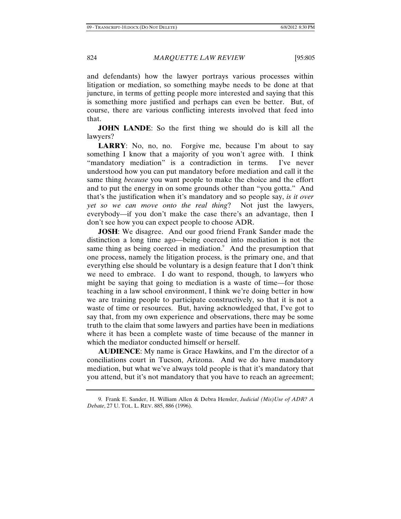and defendants) how the lawyer portrays various processes within litigation or mediation, so something maybe needs to be done at that juncture, in terms of getting people more interested and saying that this is something more justified and perhaps can even be better. But, of course, there are various conflicting interests involved that feed into that.

**JOHN LANDE:** So the first thing we should do is kill all the lawyers?

**LARRY**: No, no, no. Forgive me, because I'm about to say something I know that a majority of you won't agree with. I think "mandatory mediation" is a contradiction in terms. I've never understood how you can put mandatory before mediation and call it the same thing *because* you want people to make the choice and the effort and to put the energy in on some grounds other than "you gotta." And that's the justification when it's mandatory and so people say, *is it over yet so we can move onto the real thing*? Not just the lawyers, everybody—if you don't make the case there's an advantage, then I don't see how you can expect people to choose ADR.

**JOSH**: We disagree. And our good friend Frank Sander made the distinction a long time ago—being coerced into mediation is not the same thing as being coerced in mediation.<sup>9</sup> And the presumption that one process, namely the litigation process, is the primary one, and that everything else should be voluntary is a design feature that I don't think we need to embrace. I do want to respond, though, to lawyers who might be saying that going to mediation is a waste of time—for those teaching in a law school environment, I think we're doing better in how we are training people to participate constructively, so that it is not a waste of time or resources. But, having acknowledged that, I've got to say that, from my own experience and observations, there may be some truth to the claim that some lawyers and parties have been in mediations where it has been a complete waste of time because of the manner in which the mediator conducted himself or herself.

**AUDIENCE**: My name is Grace Hawkins, and I'm the director of a conciliations court in Tucson, Arizona. And we do have mandatory mediation, but what we've always told people is that it's mandatory that you attend, but it's not mandatory that you have to reach an agreement;

<sup>9.</sup> Frank E. Sander, H. William Allen & Debra Hensler, *Judicial (Mis)Use of ADR? A Debate*, 27 U. TOL. L. REV. 885, 886 (1996).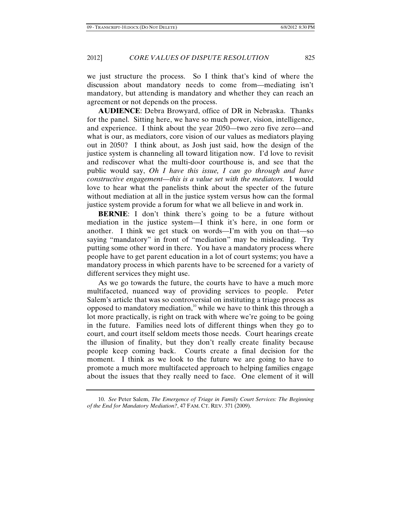we just structure the process. So I think that's kind of where the discussion about mandatory needs to come from—mediating isn't mandatory, but attending is mandatory and whether they can reach an agreement or not depends on the process.

**AUDIENCE**: Debra Browyard, office of DR in Nebraska. Thanks for the panel. Sitting here, we have so much power, vision, intelligence, and experience. I think about the year 2050—two zero five zero—and what is our, as mediators, core vision of our values as mediators playing out in 2050? I think about, as Josh just said, how the design of the justice system is channeling all toward litigation now. I'd love to revisit and rediscover what the multi-door courthouse is, and see that the public would say, *Oh I have this issue, I can go through and have constructive engagement—this is a value set with the mediators.* I would love to hear what the panelists think about the specter of the future without mediation at all in the justice system versus how can the formal justice system provide a forum for what we all believe in and work in.

**BERNIE:** I don't think there's going to be a future without mediation in the justice system—I think it's here, in one form or another. I think we get stuck on words—I'm with you on that—so saying "mandatory" in front of "mediation" may be misleading. Try putting some other word in there. You have a mandatory process where people have to get parent education in a lot of court systems; you have a mandatory process in which parents have to be screened for a variety of different services they might use.

As we go towards the future, the courts have to have a much more multifaceted, nuanced way of providing services to people. Peter Salem's article that was so controversial on instituting a triage process as opposed to mandatory mediation,<sup>10</sup> while we have to think this through a lot more practically, is right on track with where we're going to be going in the future. Families need lots of different things when they go to court, and court itself seldom meets those needs. Court hearings create the illusion of finality, but they don't really create finality because people keep coming back. Courts create a final decision for the moment. I think as we look to the future we are going to have to promote a much more multifaceted approach to helping families engage about the issues that they really need to face. One element of it will

<sup>10.</sup> *See* Peter Salem, *The Emergence of Triage in Family Court Services: The Beginning of the End for Mandatory Mediation?*, 47 FAM. CT. REV. 371 (2009).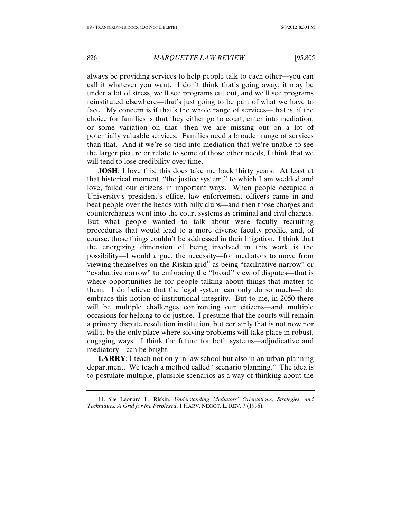always be providing services to help people talk to each other—you can call it whatever you want. I don't think that's going away; it may be under a lot of stress, we'll see programs cut out, and we'll see programs reinstituted elsewhere—that's just going to be part of what we have to face. My concern is if that's the whole range of services—that is, if the choice for families is that they either go to court, enter into mediation, or some variation on that—then we are missing out on a lot of potentially valuable services. Families need a broader range of services than that. And if we're so tied into mediation that we're unable to see the larger picture or relate to some of those other needs, I think that we will tend to lose credibility over time.

**JOSH:** I love this; this does take me back thirty years. At least at that historical moment, "the justice system," to which I am wedded and love, failed our citizens in important ways. When people occupied a University's president's office, law enforcement officers came in and beat people over the heads with billy clubs—and then those charges and countercharges went into the court systems as criminal and civil charges. But what people wanted to talk about were faculty recruiting procedures that would lead to a more diverse faculty profile, and, of course, those things couldn't be addressed in their litigation. I think that the energizing dimension of being involved in this work is the possibility—I would argue, the necessity—for mediators to move from viewing themselves on the Riskin grid $11$  as being "facilitative narrow" or "evaluative narrow" to embracing the "broad" view of disputes—that is where opportunities lie for people talking about things that matter to them. I do believe that the legal system can only do so much—I do embrace this notion of institutional integrity. But to me, in 2050 there will be multiple challenges confronting our citizens—and multiple occasions for helping to do justice. I presume that the courts will remain a primary dispute resolution institution, but certainly that is not now nor will it be the only place where solving problems will take place in robust, engaging ways. I think the future for both systems—adjudicative and mediatory—can be bright.

**LARRY**: I teach not only in law school but also in an urban planning department. We teach a method called "scenario planning." The idea is to postulate multiple, plausible scenarios as a way of thinking about the

<sup>11.</sup> *See* Leonard L. Riskin, *Understanding Mediators' Orientations, Strategies, and Techniques: A Grid for the Perplexed*, 1 HARV. NEGOT. L. REV. 7 (1996).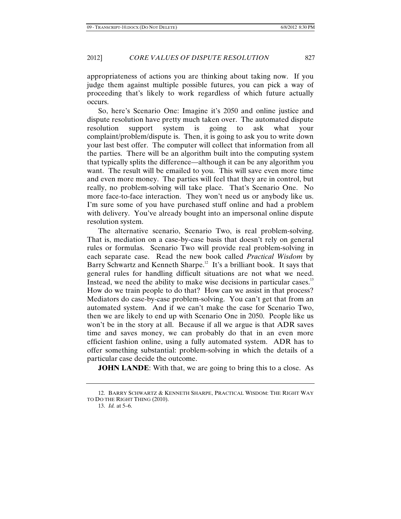appropriateness of actions you are thinking about taking now. If you judge them against multiple possible futures, you can pick a way of proceeding that's likely to work regardless of which future actually occurs.

So, here's Scenario One: Imagine it's 2050 and online justice and dispute resolution have pretty much taken over. The automated dispute resolution support system is going to ask what your complaint/problem/dispute is. Then, it is going to ask you to write down your last best offer. The computer will collect that information from all the parties. There will be an algorithm built into the computing system that typically splits the difference—although it can be any algorithm you want. The result will be emailed to you. This will save even more time and even more money. The parties will feel that they are in control, but really, no problem-solving will take place. That's Scenario One. No more face-to-face interaction. They won't need us or anybody like us. I'm sure some of you have purchased stuff online and had a problem with delivery. You've already bought into an impersonal online dispute resolution system.

The alternative scenario, Scenario Two, is real problem-solving. That is, mediation on a case-by-case basis that doesn't rely on general rules or formulas. Scenario Two will provide real problem-solving in each separate case. Read the new book called *Practical Wisdom* by Barry Schwartz and Kenneth Sharpe.<sup>12</sup> It's a brilliant book. It says that general rules for handling difficult situations are not what we need. Instead, we need the ability to make wise decisions in particular cases. $13$ How do we train people to do that? How can we assist in that process? Mediators do case-by-case problem-solving. You can't get that from an automated system. And if we can't make the case for Scenario Two, then we are likely to end up with Scenario One in 2050. People like us won't be in the story at all. Because if all we argue is that ADR saves time and saves money, we can probably do that in an even more efficient fashion online, using a fully automated system. ADR has to offer something substantial: problem-solving in which the details of a particular case decide the outcome.

**JOHN LANDE:** With that, we are going to bring this to a close. As

<sup>12.</sup> BARRY SCHWARTZ & KENNETH SHARPE, PRACTICAL WISDOM: THE RIGHT WAY TO DO THE RIGHT THING (2010).

<sup>13.</sup> *Id.* at 5–6.